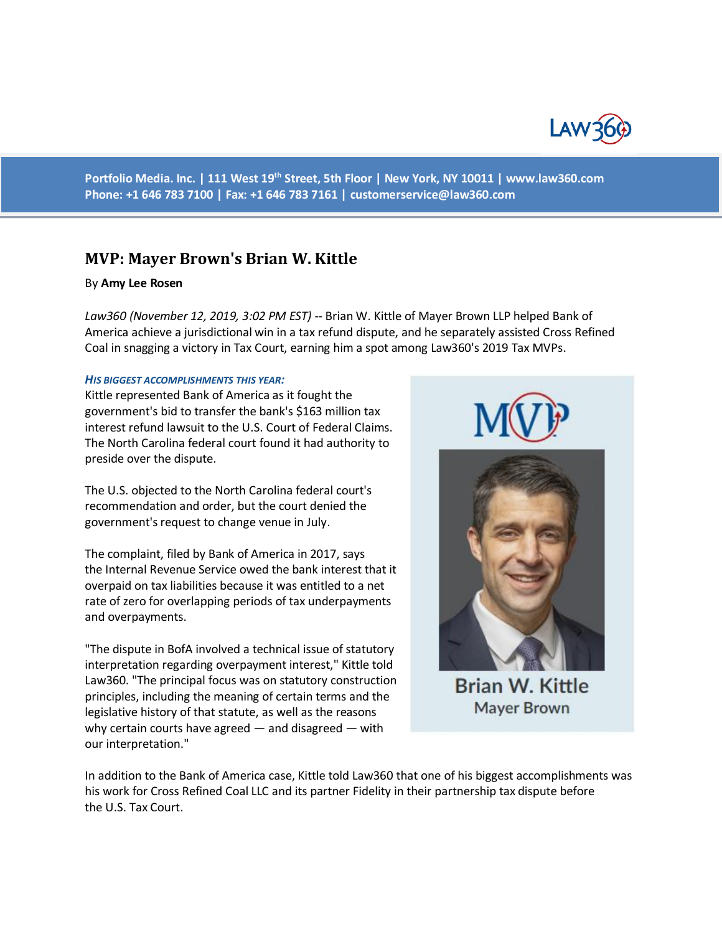

**Portfolio Media. Inc. | 111 West 19th Street, 5th Floor | New York, NY 10011 | www.law360.com Phone: +1 646 783 7100 | Fax: +1 646 783 7161 | [customerservice@law360.com](mailto:customerservice@law360.com)**

# **MVP: Mayer Brown's Brian W. Kittle**

# By **Amy Lee Rosen**

*Law360 (November 12, 2019, 3:02 PM EST) --* Brian W. Kittle of Mayer Brown LLP helped Bank of America achieve a jurisdictional win in a tax refund dispute, and he separately assisted Cross Refined Coal in snagging a victory in Tax Court, earning him a spot among Law360's 2019 Tax MVPs.

### *HIS BIGGEST ACCOMPLISHMENTS THIS YEAR:*

Kittle represented Bank of America as it fought the government's bid to transfer the bank's \$163 million tax interest refund lawsuit to the U.S. Court of Federal Claims. The North Carolina federal court found it had authority to preside over the dispute.

The U.S. objected to the North Carolina federal court's recommendation and order, but the court denied the government's request to change venue in July.

The complaint, filed by Bank of America in 2017, says the Internal Revenue Service owed the bank interest that it overpaid on tax liabilities because it was entitled to a net rate of zero for overlapping periods of tax underpayments and overpayments.

"The dispute in BofA involved a technical issue of statutory interpretation regarding overpayment interest," Kittle told Law360. "The principal focus was on statutory construction principles, including the meaning of certain terms and the legislative history of that statute, as well as the reasons why certain courts have agreed — and disagreed — with our interpretation."



**Brian W. Kittle Mayer Brown** 

In addition to the Bank of America case, Kittle told Law360 that one of his biggest accomplishments was his work for Cross Refined Coal LLC and its partner Fidelity in their partnership tax dispute before the U.S. Tax Court.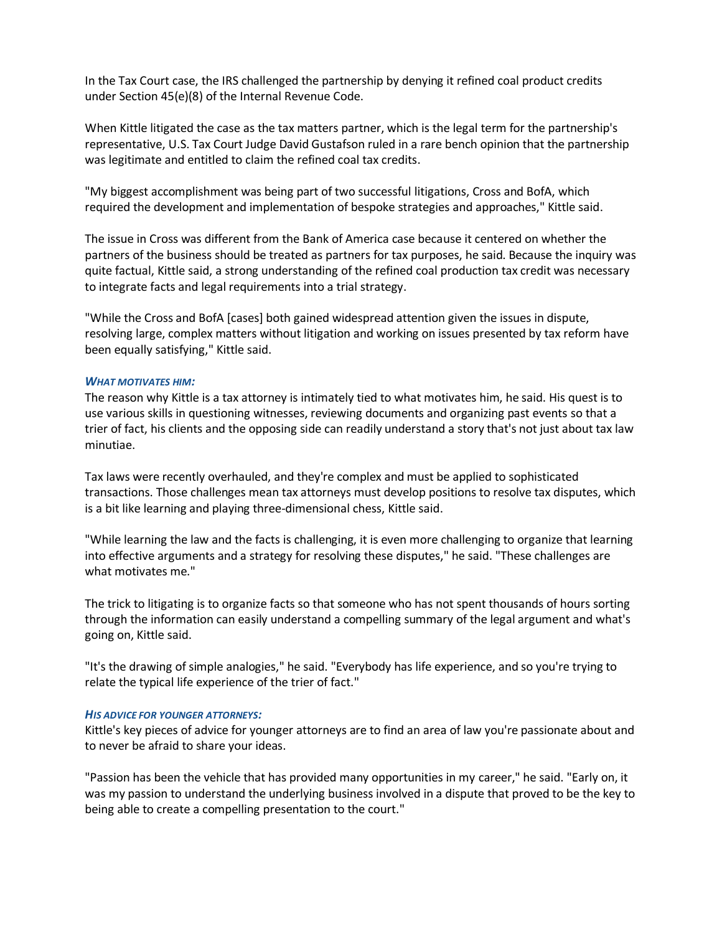In the Tax Court case, the IRS challenged the partnership by denying it refined coal product credits under Section 45(e)(8) of the Internal Revenue Code.

When Kittle litigated the case as the tax matters partner, which is the legal term for the partnership's representative, U.S. Tax Court Judge David Gustafson ruled in a rare bench opinion that the partnership was legitimate and entitled to claim the refined coal tax credits.

"My biggest accomplishment was being part of two successful litigations, Cross and BofA, which required the development and implementation of bespoke strategies and approaches," Kittle said.

The issue in Cross was different from the Bank of America case because it centered on whether the partners of the business should be treated as partners for tax purposes, he said. Because the inquiry was quite factual, Kittle said, a strong understanding of the refined coal production tax credit was necessary to integrate facts and legal requirements into a trial strategy.

"While the Cross and BofA [cases] both gained widespread attention given the issues in dispute, resolving large, complex matters without litigation and working on issues presented by tax reform have been equally satisfying," Kittle said.

# *WHAT MOTIVATES HIM:*

The reason why Kittle is a tax attorney is intimately tied to what motivates him, he said. His quest is to use various skills in questioning witnesses, reviewing documents and organizing past events so that a trier of fact, his clients and the opposing side can readily understand a story that's not just about tax law minutiae.

Tax laws were recently overhauled, and they're complex and must be applied to sophisticated transactions. Those challenges mean tax attorneys must develop positions to resolve tax disputes, which is a bit like learning and playing three-dimensional chess, Kittle said.

"While learning the law and the facts is challenging, it is even more challenging to organize that learning into effective arguments and a strategy for resolving these disputes," he said. "These challenges are what motivates me."

The trick to litigating is to organize facts so that someone who has not spent thousands of hours sorting through the information can easily understand a compelling summary of the legal argument and what's going on, Kittle said.

"It's the drawing of simple analogies," he said. "Everybody has life experience, and so you're trying to relate the typical life experience of the trier of fact."

### *HIS ADVICE FOR YOUNGER ATTORNEYS:*

Kittle's key pieces of advice for younger attorneys are to find an area of law you're passionate about and to never be afraid to share your ideas.

"Passion has been the vehicle that has provided many opportunities in my career," he said. "Early on, it was my passion to understand the underlying business involved in a dispute that proved to be the key to being able to create a compelling presentation to the court."